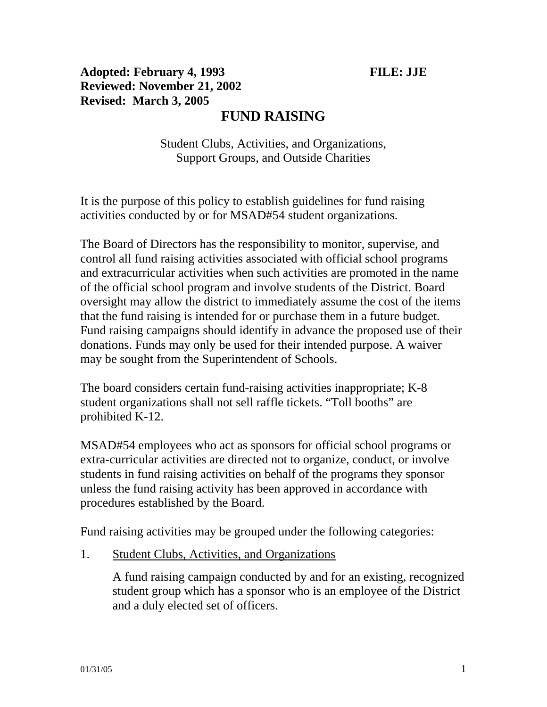# Adopted: February 4, 1993 **FILE:** JJE **Reviewed: November 21, 2002 Revised: March 3, 2005**

# **FUND RAISING**

Student Clubs, Activities, and Organizations, Support Groups, and Outside Charities

It is the purpose of this policy to establish guidelines for fund raising activities conducted by or for MSAD#54 student organizations.

The Board of Directors has the responsibility to monitor, supervise, and control all fund raising activities associated with official school programs and extracurricular activities when such activities are promoted in the name of the official school program and involve students of the District. Board oversight may allow the district to immediately assume the cost of the items that the fund raising is intended for or purchase them in a future budget. Fund raising campaigns should identify in advance the proposed use of their donations. Funds may only be used for their intended purpose. A waiver may be sought from the Superintendent of Schools.

The board considers certain fund-raising activities inappropriate; K-8 student organizations shall not sell raffle tickets. "Toll booths" are prohibited K-12.

MSAD#54 employees who act as sponsors for official school programs or extra-curricular activities are directed not to organize, conduct, or involve students in fund raising activities on behalf of the programs they sponsor unless the fund raising activity has been approved in accordance with procedures established by the Board.

Fund raising activities may be grouped under the following categories:

1. Student Clubs, Activities, and Organizations

A fund raising campaign conducted by and for an existing, recognized student group which has a sponsor who is an employee of the District and a duly elected set of officers.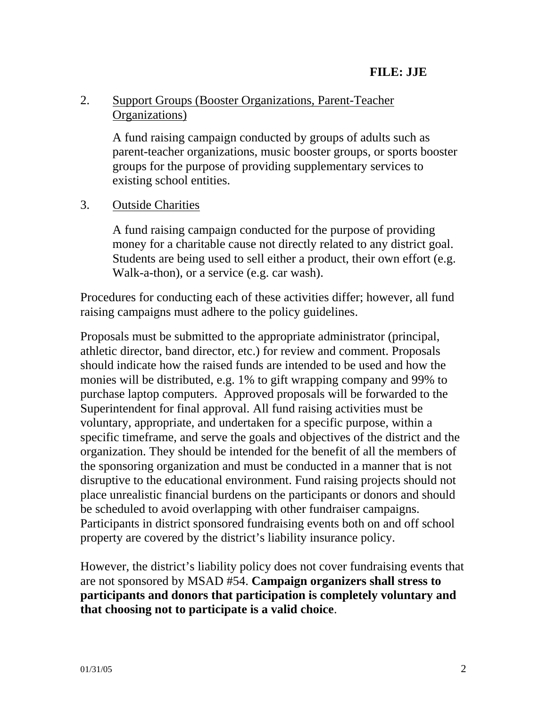## 2. Support Groups (Booster Organizations, Parent-Teacher Organizations)

A fund raising campaign conducted by groups of adults such as parent-teacher organizations, music booster groups, or sports booster groups for the purpose of providing supplementary services to existing school entities.

### 3. Outside Charities

 A fund raising campaign conducted for the purpose of providing money for a charitable cause not directly related to any district goal. Students are being used to sell either a product, their own effort (e.g. Walk-a-thon), or a service (e.g. car wash).

Procedures for conducting each of these activities differ; however, all fund raising campaigns must adhere to the policy guidelines.

Proposals must be submitted to the appropriate administrator (principal, athletic director, band director, etc.) for review and comment. Proposals should indicate how the raised funds are intended to be used and how the monies will be distributed, e.g. 1% to gift wrapping company and 99% to purchase laptop computers. Approved proposals will be forwarded to the Superintendent for final approval. All fund raising activities must be voluntary, appropriate, and undertaken for a specific purpose, within a specific timeframe, and serve the goals and objectives of the district and the organization. They should be intended for the benefit of all the members of the sponsoring organization and must be conducted in a manner that is not disruptive to the educational environment. Fund raising projects should not place unrealistic financial burdens on the participants or donors and should be scheduled to avoid overlapping with other fundraiser campaigns. Participants in district sponsored fundraising events both on and off school property are covered by the district's liability insurance policy.

However, the district's liability policy does not cover fundraising events that are not sponsored by MSAD #54. **Campaign organizers shall stress to participants and donors that participation is completely voluntary and that choosing not to participate is a valid choice**.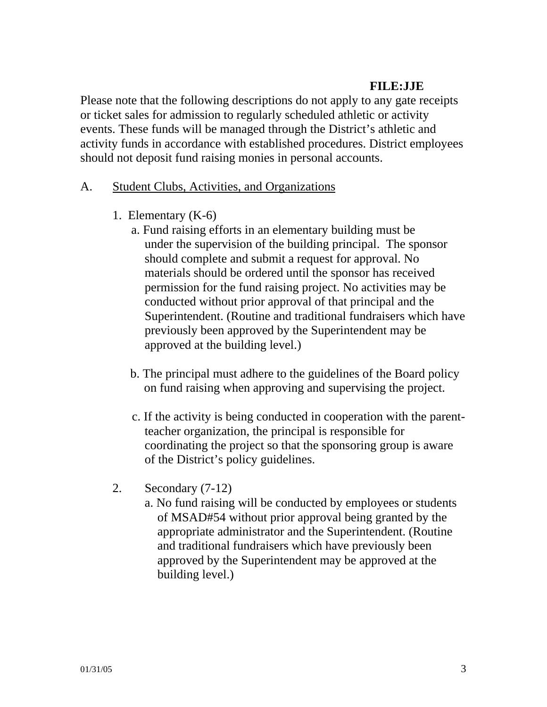#### **FILE:JJE**

Please note that the following descriptions do not apply to any gate receipts or ticket sales for admission to regularly scheduled athletic or activity events. These funds will be managed through the District's athletic and activity funds in accordance with established procedures. District employees should not deposit fund raising monies in personal accounts.

#### A. Student Clubs, Activities, and Organizations

- 1. Elementary (K-6)
	- a. Fund raising efforts in an elementary building must be under the supervision of the building principal. The sponsor should complete and submit a request for approval. No materials should be ordered until the sponsor has received permission for the fund raising project. No activities may be conducted without prior approval of that principal and the Superintendent. (Routine and traditional fundraisers which have previously been approved by the Superintendent may be approved at the building level.)
	- b. The principal must adhere to the guidelines of the Board policy on fund raising when approving and supervising the project.
	- c. If the activity is being conducted in cooperation with the parentteacher organization, the principal is responsible for coordinating the project so that the sponsoring group is aware of the District's policy guidelines.
- 2. Secondary (7-12)
	- a. No fund raising will be conducted by employees or students of MSAD#54 without prior approval being granted by the appropriate administrator and the Superintendent. (Routine and traditional fundraisers which have previously been approved by the Superintendent may be approved at the building level.)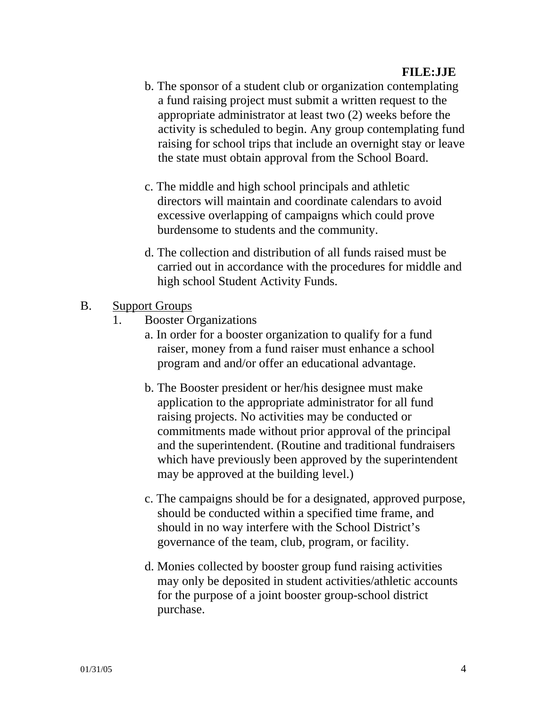- b. The sponsor of a student club or organization contemplating a fund raising project must submit a written request to the appropriate administrator at least two (2) weeks before the activity is scheduled to begin. Any group contemplating fund raising for school trips that include an overnight stay or leave the state must obtain approval from the School Board.
- c. The middle and high school principals and athletic directors will maintain and coordinate calendars to avoid excessive overlapping of campaigns which could prove burdensome to students and the community.
- d. The collection and distribution of all funds raised must be carried out in accordance with the procedures for middle and high school Student Activity Funds.
- B. Support Groups
	- 1. Booster Organizations
		- a. In order for a booster organization to qualify for a fund raiser, money from a fund raiser must enhance a school program and and/or offer an educational advantage.
		- b. The Booster president or her/his designee must make application to the appropriate administrator for all fund raising projects. No activities may be conducted or commitments made without prior approval of the principal and the superintendent. (Routine and traditional fundraisers which have previously been approved by the superintendent may be approved at the building level.)
		- c. The campaigns should be for a designated, approved purpose, should be conducted within a specified time frame, and should in no way interfere with the School District's governance of the team, club, program, or facility.
		- d. Monies collected by booster group fund raising activities may only be deposited in student activities/athletic accounts for the purpose of a joint booster group-school district purchase.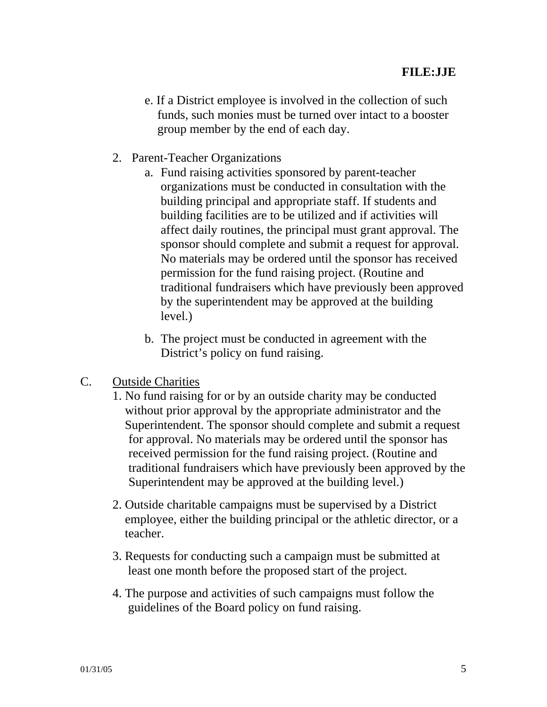- e. If a District employee is involved in the collection of such funds, such monies must be turned over intact to a booster group member by the end of each day.
- 2. Parent-Teacher Organizations
	- a. Fund raising activities sponsored by parent-teacher organizations must be conducted in consultation with the building principal and appropriate staff. If students and building facilities are to be utilized and if activities will affect daily routines, the principal must grant approval. The sponsor should complete and submit a request for approval. No materials may be ordered until the sponsor has received permission for the fund raising project. (Routine and traditional fundraisers which have previously been approved by the superintendent may be approved at the building level.) Î
	- b. The project must be conducted in agreement with the District's policy on fund raising.
- C. Outside Charities
	- 1. No fund raising for or by an outside charity may be conducted without prior approval by the appropriate administrator and the Superintendent. The sponsor should complete and submit a request for approval. No materials may be ordered until the sponsor has received permission for the fund raising project. (Routine and traditional fundraisers which have previously been approved by the Superintendent may be approved at the building level.)
	- 2. Outside charitable campaigns must be supervised by a District employee, either the building principal or the athletic director, or a teacher.
	- 3. Requests for conducting such a campaign must be submitted at least one month before the proposed start of the project.
	- 4. The purpose and activities of such campaigns must follow the guidelines of the Board policy on fund raising.